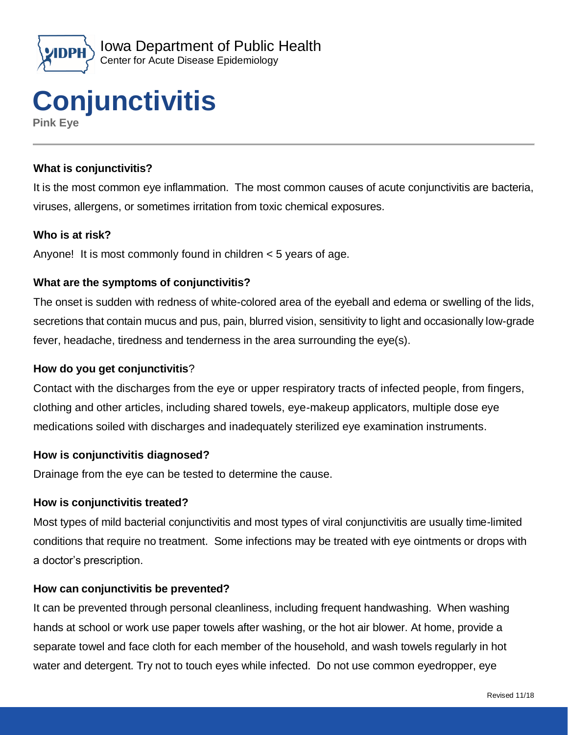



### **What is conjunctivitis?**

It is the most common eye inflammation. The most common causes of acute conjunctivitis are bacteria, viruses, allergens, or sometimes irritation from toxic chemical exposures.

#### **Who is at risk?**

Anyone! It is most commonly found in children < 5 years of age.

#### **What are the symptoms of conjunctivitis?**

The onset is sudden with redness of white-colored area of the eyeball and edema or swelling of the lids, secretions that contain mucus and pus, pain, blurred vision, sensitivity to light and occasionally low-grade fever, headache, tiredness and tenderness in the area surrounding the eye(s).

#### **How do you get conjunctivitis**?

Contact with the discharges from the eye or upper respiratory tracts of infected people, from fingers, clothing and other articles, including shared towels, eye-makeup applicators, multiple dose eye medications soiled with discharges and inadequately sterilized eye examination instruments.

#### **How is conjunctivitis diagnosed?**

Drainage from the eye can be tested to determine the cause.

#### **How is conjunctivitis treated?**

Most types of mild bacterial conjunctivitis and most types of viral conjunctivitis are usually time-limited conditions that require no treatment. Some infections may be treated with eye ointments or drops with a doctor's prescription.

#### **How can conjunctivitis be prevented?**

It can be prevented through personal cleanliness, including frequent handwashing. When washing hands at school or work use paper towels after washing, or the hot air blower. At home, provide a separate towel and face cloth for each member of the household, and wash towels regularly in hot water and detergent. Try not to touch eyes while infected. Do not use common eyedropper, eye